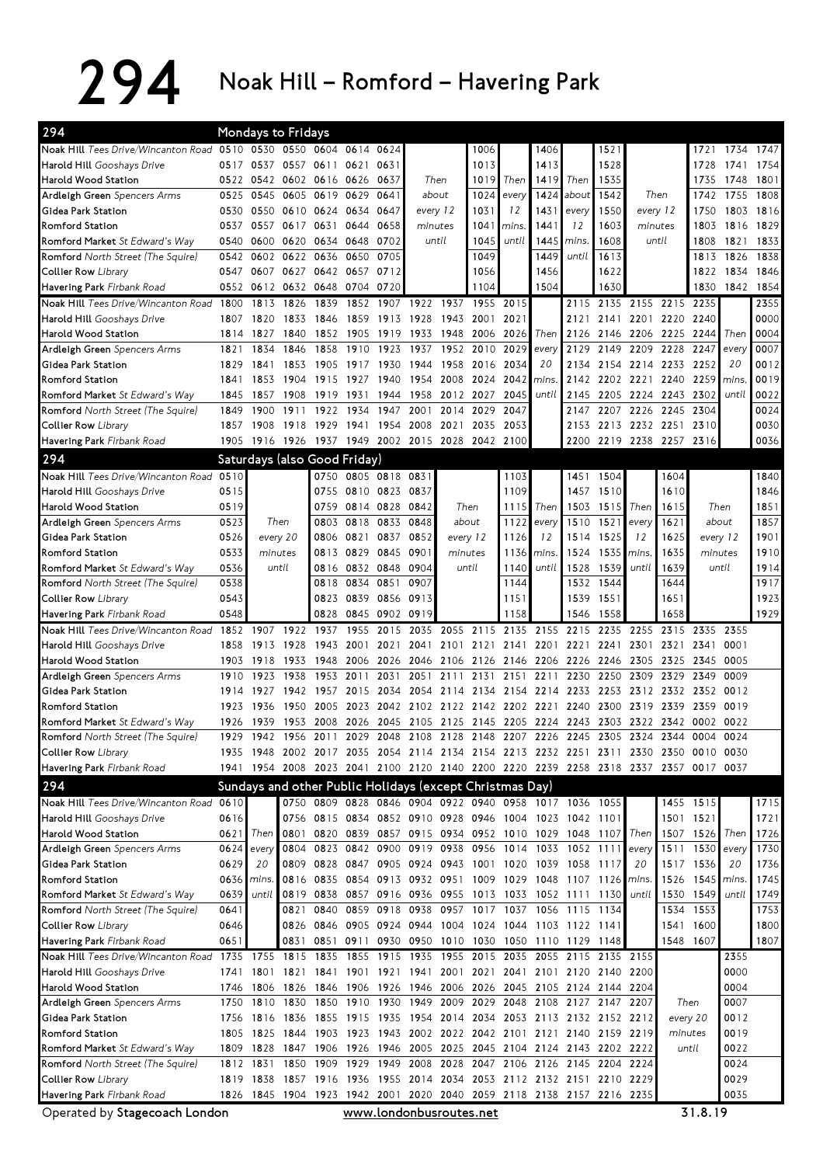294 Noak Hill – Romford – Havering Park

| 294                                                         |      | Mondays to Fridays     |                |                                                                                      |                |                |                          |                |                         |       |                |                                                                                                        |           |                          |                     |                |              |      |
|-------------------------------------------------------------|------|------------------------|----------------|--------------------------------------------------------------------------------------|----------------|----------------|--------------------------|----------------|-------------------------|-------|----------------|--------------------------------------------------------------------------------------------------------|-----------|--------------------------|---------------------|----------------|--------------|------|
| Noak Hill Tees Drive/Wincanton Road 0510                    |      | 0530                   |                | 0550 0604 0614                                                                       |                | 0624           |                          |                | 1006                    |       | 1406           |                                                                                                        | 1521      |                          |                     | 1721           | 1734         | 1747 |
| Harold Hill Gooshays Drive                                  | 0517 | 0537                   |                | 0557 0611                                                                            | 0621           | 0631           |                          |                | 1013                    |       | 1413           |                                                                                                        | 1528      |                          |                     | 1728           | 1741         | 1754 |
| Harold Wood Station                                         | 0522 |                        |                | 0542 0602 0616 0626 0637                                                             |                |                |                          | Then           | 1019                    | Then  | 1419           | Then                                                                                                   | 1535      |                          |                     | 1735           | 1748         | 1801 |
| Ardleigh Green Spencers Arms                                | 0525 | 0545                   |                | 0605 0619                                                                            | 0629           | 0641           |                          | about          | 1024                    | every | 1424           | about                                                                                                  | 1542      | Then                     |                     | 1742           | 1755         | 1808 |
| Gidea Park Station                                          | 0530 | 0550                   |                | 0610 0624                                                                            | 0634           | 0647           |                          | every 12       | 1031                    | 12    | 1431           | every                                                                                                  | 1550      | every 12                 |                     | 1750           | 1803         | 1816 |
| <b>Romford Station</b>                                      | 0537 | 0557                   | 0617 0631      |                                                                                      | 0644           | 0658           |                          | minutes        | 1041                    | mins. | 1441           | 12                                                                                                     | 1603      | minutes                  |                     | 1803           | 1816         | 1829 |
| Romford Market St Edward's Way                              | 0540 | 0600                   | 0620           | 0634                                                                                 | 0648           | 0702           |                          | until          | 1045                    | until | 1445           | mins.                                                                                                  | 1608      |                          | until               | 1808           | 1821         | 1833 |
| Romford North Street (The Squire)                           | 0542 | 0602                   | 0622           | 0636                                                                                 | 0650           | 0705           |                          |                | 1049                    |       | 1449           | until                                                                                                  | 1613      |                          |                     | 1813           | 1826         | 1838 |
| Collier Row Library                                         | 0547 | 0607                   | 0627           | 0642                                                                                 | 0657           | 0712           |                          |                | 1056                    |       | 1456           |                                                                                                        | 1622      |                          |                     | 1822           | 1834         | 1846 |
| Havering Park Firbank Road                                  | 0552 | 0612                   | 0632 0648      |                                                                                      | 0704 0720      |                |                          |                | 1104                    |       | 1504           |                                                                                                        | 1630      |                          |                     | 1830           | 1842 1854    |      |
| Noak Hill Tees Drive/Wincanton Road                         | 1800 | 1813                   | 1826           | 1839                                                                                 | 1852           | 1907 1922      |                          | 1937           | 1955 2015               |       |                |                                                                                                        |           | 2115 2135 2155 2215 2235 |                     |                |              | 2355 |
| Harold Hill Gooshays Drive                                  | 1807 | 1820                   | 1833           | 1846                                                                                 | 1859           | 1913           | 1928                     |                | 1943 2001               | 2021  |                | 2121                                                                                                   |           | 2141 2201 2220           |                     | 2240           |              | 0000 |
| Harold Wood Station                                         | 1814 | 1827                   | 1840           | 1852                                                                                 | 1905           | 1919           | 1933                     | 1948           | 2006                    | 2026  | Then           | 2126                                                                                                   | 2146      | 2206 2225 2244           |                     |                | Then         | 0004 |
| Ardleigh Green Spencers Arms                                | 1821 | 1834                   | 1846           | 1858                                                                                 | 1910           | 1923           | 1937                     |                | 1952 2010               | 2029  | every          | 2129                                                                                                   | 2149      | 2209                     | 2228                | 2247           | every        | 0007 |
| Gidea Park Station                                          | 1829 | 1841                   | 1853           | 1905                                                                                 | 1917           | 1930           | 1944                     |                | 1958 2016               | 2034  | 20             | 2134                                                                                                   | 2154      | 2214                     | 2233                | 2252           | 20           | 0012 |
| <b>Romford Station</b>                                      | 1841 | 1853                   | 1904           | 1915                                                                                 | 1927           | 1940           | 1954                     | 2008           | 2024                    | 2042  | mins.          | 2142                                                                                                   | 2202      | 2221                     | 2240 2259 mins      |                |              | 0019 |
| Romford Market St Edward's Way                              | 1845 | 1857                   | 1908           | 1919                                                                                 | 1931           | 1944           | 1958                     |                | 2012 2027               | 2045  | until          | 2145                                                                                                   | 2205      | 2224 2243 2302           |                     |                | until        | 0022 |
| Romford North Street (The Squire)                           | 1849 | 1900                   | 1911           | 1922                                                                                 | 1934           | 1947           | 2001                     | 2014           | 2029                    | 2047  |                | 2147                                                                                                   |           | 2207 2226                | 2245                | 2304           |              | 0024 |
| Collier Row Library                                         | 1857 | 1908                   | 1918           | 1929                                                                                 | 1941           | 1954           | 2008                     | 2021           | 2035                    | 2053  |                | 2153                                                                                                   | 2213      | 2232 2251 2310           |                     |                |              | 0030 |
| Havering Park Firbank Road                                  | 1905 |                        | 1916 1926 1937 |                                                                                      |                | 1949 2002 2015 |                          |                | 2028 2042 2100          |       |                |                                                                                                        |           | 2200 2219 2238 2257 2316 |                     |                |              | 0036 |
| 294                                                         |      |                        |                | Saturdays (also Good Friday)                                                         |                |                |                          |                |                         |       |                |                                                                                                        |           |                          |                     |                |              |      |
| Noak Hill Tees Drive/Wincanton Road 0510                    |      |                        |                | 0750                                                                                 |                | 0805 0818 0831 |                          |                |                         | 1103  |                |                                                                                                        | 1451 1504 |                          | 1604                |                |              | 1840 |
| Harold Hill Gooshays Drive                                  | 0515 |                        |                | 0755                                                                                 |                | 0810 0823 0837 |                          |                |                         | 1109  |                | 1457                                                                                                   | 1510      |                          | 1610                |                |              | 1846 |
| Harold Wood Station                                         | 0519 |                        |                | 0759                                                                                 |                | 0814 0828      | 0842                     |                | Then                    | 1115  | Then           | 1503                                                                                                   | 1515      | Then                     | 1615                |                | Then         | 1851 |
| Ardleigh Green Spencers Arms                                | 0523 | Then                   |                | 0803                                                                                 |                | 0818 0833      | 0848                     | about          |                         | 1122  | every          | 1510                                                                                                   | 1521      | every                    | 1621                |                | about        | 1857 |
| Gidea Park Station                                          | 0526 | every 20               |                | 0806                                                                                 | 0821           | 0837           | 0852                     | every 12       |                         | 1126  | 12             | 1514                                                                                                   | 1525      | 12                       | 1625                | every 12       |              | 1901 |
| <b>Romford Station</b>                                      | 0533 | minutes                |                | 0813                                                                                 | 0829           | 0845           | 0901                     | minutes        |                         | 1136  | mins.          | 1524                                                                                                   | 1535      | mins.                    | 1635                | minutes        |              | 1910 |
| Romford Market St Edward's Way                              | 0536 |                        | until          | 0816                                                                                 |                | 0832 0848 0904 |                          |                | until                   | 1140  | until          | 1528                                                                                                   | 1539      | until                    | 1639                |                | until        | 1914 |
| Romford North Street (The Squire)                           | 0538 |                        |                | 0818                                                                                 | 0834           | 0851           | 0907                     |                |                         | 1144  |                | 1532                                                                                                   | 1544      |                          | 1644                |                |              | 1917 |
| Collier Row Library                                         | 0543 |                        |                | 0823                                                                                 | 0839           | 0856           | 0913                     |                |                         | 1151  |                | 1539                                                                                                   | 1551      |                          | 1651                |                |              | 1923 |
| Havering Park Firbank Road                                  | 0548 |                        |                | 0828                                                                                 | 0845           | 0902           | 0919                     |                |                         | 1158  |                | 1546                                                                                                   | 1558      |                          | 1658                |                |              | 1929 |
| Noak Hill Tees Drive/Wincanton Road                         | 1852 | 1907                   | 1922           | 1937                                                                                 | 1955           | 2015           | 2035                     | 2055           | 2115                    | 2135  | 2155           | 2215                                                                                                   | 2235      | 2255                     | 2315                | 2335           | 2355         |      |
| Harold Hill Gooshays Drive                                  | 1858 | 1913                   | 1928           | 1943                                                                                 | 2001           | 2021           | 2041                     | 2101           | 2121                    |       | 2141 2201      | 2221                                                                                                   | 2241      | 2301                     | 2321                | 2341           | 0001         |      |
| Harold Wood Station                                         | 1903 | 1918                   | 1933           | 1948                                                                                 |                | 2006 2026      | 2046                     |                | 2106 2126               | 2146  | 2206 2226      |                                                                                                        | 2246      | 2305                     | 2325 2345           |                | 0005         |      |
| Ardleigh Green Spencers Arms                                | 1910 | 1923                   | 1938           | 1953                                                                                 | 2011           | 2031           | 2051                     | 2111           | 2131                    | 2151  | 2211           | 2230                                                                                                   | 2250      | 2309                     | 2329 2349           |                | 0009         |      |
| Gidea Park Station                                          | 1914 | 1927                   | 1942           | 1957                                                                                 | 2015           | 2034           | 2054                     | 2114           | 2134                    | 2154  | 2214           | 2233                                                                                                   | 2253      | 2312                     | 2332 2352           |                | 0012         |      |
| <b>Romford Station</b>                                      | 1923 | 1936                   | 1950           | 2005                                                                                 |                | 2023 2042 2102 |                          |                | 2122 2142 2202 2221     |       |                | 2240                                                                                                   | 2300      | 2319                     | 2339 2359           |                | 0019         |      |
| Romford Market St Edward's Way                              | 1926 | 1939                   | 1953           | 2008                                                                                 | 2026           | 2045           | 2105                     | 2125           | 2145                    | 2205  | 2224           | 2243                                                                                                   | 2303      | 2322                     | 2342                | 0002           | 0022         |      |
| Romford North Street (The Squire)                           | 1929 | 1942                   | 1956 2011      |                                                                                      |                |                |                          |                |                         |       |                | 2029 2048 2108 2128 2148 2207 2226 2245 2305 2324                                                      |           |                          | 2344                | 0004           | 0024         |      |
| <b>Collier Row Library</b>                                  |      |                        |                | 1935 1948 2002 2017 2035 2054 2114 2134 2154 2213 2232 2251 2311 2330 2350 0010 0030 |                |                |                          |                |                         |       |                |                                                                                                        |           |                          |                     |                |              |      |
| Havering Park Firbank Road                                  |      |                        |                | 1941 1954 2008 2023 2041 2100 2120 2140 2200 2220 2239 2258 2318 2337 2357 0017 0037 |                |                |                          |                |                         |       |                |                                                                                                        |           |                          |                     |                |              |      |
| 294                                                         |      |                        |                | Sundays and other Public Holidays (except Christmas Day)                             |                |                |                          |                |                         |       |                |                                                                                                        |           |                          |                     |                |              |      |
| Noak Hill Tees Drive/Wincanton Road                         | 0610 |                        |                | 0750 0809 0828 0846 0904 0922 0940 0958 1017 1036 1055                               |                |                |                          |                |                         |       |                |                                                                                                        |           |                          |                     | 1455 1515      |              | 1715 |
| Harold Hill Gooshays Drive                                  | 0616 |                        |                | 0756 0815 0834 0852 0910 0928 0946 1004 1023 1042 1101                               |                |                |                          |                |                         |       |                |                                                                                                        |           |                          |                     | 1501 1521      |              | 1721 |
| Harold Wood Station                                         |      | 0621 Then              |                | 0801 0820                                                                            |                |                |                          |                |                         |       |                | 0839 0857 0915 0934 0952 1010 1029 1048 1107 Then                                                      |           |                          |                     | 1507 1526 Then |              | 1726 |
| Ardleigh Green Spencers Arms                                | 0624 | every                  |                | 0804 0823 0842 0900                                                                  |                |                |                          | 0919 0938 0956 |                         |       |                | 1014 1033 1052 1111                                                                                    |           | every                    | 1511                | 1530 every     |              | 1730 |
| Gidea Park Station                                          | 0629 | 20                     |                | 0809 0828                                                                            |                |                |                          |                |                         |       |                | 0847 0905 0924 0943 1001 1020 1039 1058 1117                                                           |           | 20                       |                     | 1517 1536      | 20           | 1736 |
| Romford Station                                             | 0636 | mins.                  |                | 0816 0835                                                                            |                |                |                          |                |                         |       |                | 0854 0913 0932 0951 1009 1029 1048 1107 1126                                                           |           | mins.                    |                     | 1526 1545 mins |              | 1745 |
| Romford Market St Edward's Way                              | 0639 | until                  |                | 0819 0838                                                                            |                |                | 0857 0916 0936 0955 1013 |                |                         |       | 1033 1052 1111 |                                                                                                        | 1130      | until                    | 1530                | 1549           | until        | 1749 |
| Romford North Street (The Squire)                           | 0641 |                        | 0821           | 0840                                                                                 |                | 0859 0918 0938 |                          |                | 0957 1017 1037          |       |                | 1056 1115 1134                                                                                         |           |                          | 1534                | 1553           |              | 1753 |
| Collier Row Library                                         | 0646 |                        |                | 0826 0846                                                                            |                |                |                          |                |                         |       |                | 0905 0924 0944 1004 1024 1044 1103 1122 1141                                                           |           |                          |                     | 1541 1600      |              | 1800 |
| Havering Park Firbank Road                                  | 0651 |                        | 0831           | 0851                                                                                 |                |                |                          |                |                         |       |                | 0911 0930 0950 1010 1030 1050 1110 1129 1148                                                           |           |                          | 1548 1607           |                |              | 1807 |
| Noak Hill Tees Drive/Wincanton Road 1735                    |      |                        | 1755 1815      | 1835                                                                                 | 1855           | 1915           | 1935                     |                | 1955 2015               | 2035  | 2055           | 2115                                                                                                   | 2135 2155 |                          |                     |                | 2355         |      |
| Harold Hill Gooshays Drive                                  | 1741 | 1801                   | 1821 1841      |                                                                                      |                | 1901 1921      |                          |                |                         |       |                | 1941 2001 2021 2041 2101 2120 2140 2200                                                                |           |                          |                     |                | 0000         |      |
| Harold Wood Station                                         | 1746 | 1806                   | 1826 1846      |                                                                                      | 1906 1926 1946 |                |                          |                |                         |       |                | 2006 2026 2045 2105 2124 2144 2204                                                                     |           |                          |                     |                | 0004         |      |
| Ardleigh Green Spencers Arms                                | 1750 | 1810                   | 1830           | 1850                                                                                 |                | 1910 1930      |                          |                |                         |       |                | 1949 2009 2029 2048 2108 2127 2147 2207                                                                |           |                          | Then                |                | 0007         |      |
| Gidea Park Station                                          | 1756 | 1816 1836              |                | 1855 1915 1935 1954 2014 2034 2053 2113 2132 2152 2212                               |                |                |                          |                |                         |       |                |                                                                                                        |           |                          | every 20<br>minutes |                | 0012         |      |
| Romford Station                                             |      |                        |                | 1805 1825 1844 1903 1923 1943 2002 2022 2042 2101 2121 2140 2159 2219                |                |                |                          |                |                         |       |                |                                                                                                        |           |                          |                     |                | 0019         |      |
| Romford Market St Edward's Way                              | 1809 | 1828                   | 1847 1906      |                                                                                      |                |                |                          |                |                         |       |                | 1926 1946 2005 2025 2045 2104 2124 2143 2202 2222                                                      |           |                          | until               |                | 0022         |      |
| Romford North Street (The Squire)                           |      | 1812 1831<br>1819 1838 | 1857 1916      | 1850 1909                                                                            |                |                |                          |                |                         |       |                | 1929 1949 2008 2028 2047 2106 2126 2145 2204 2224<br>1936 1955 2014 2034 2053 2112 2132 2151 2210 2229 |           |                          |                     |                | 0024<br>0029 |      |
| Collier Row Library                                         |      |                        |                |                                                                                      |                |                |                          |                |                         |       |                |                                                                                                        |           |                          |                     |                |              |      |
|                                                             |      |                        |                |                                                                                      |                |                |                          |                |                         |       |                |                                                                                                        |           |                          |                     |                |              |      |
| Havering Park Firbank Road<br>Operated by Stagecoach London |      |                        |                | 1826 1845 1904 1923 1942 2001 2020 2040 2059 2118 2138 2157 2216 2235                |                |                |                          |                | www.londonbusroutes.net |       |                |                                                                                                        |           |                          |                     | 31.8.19        | 0035         |      |